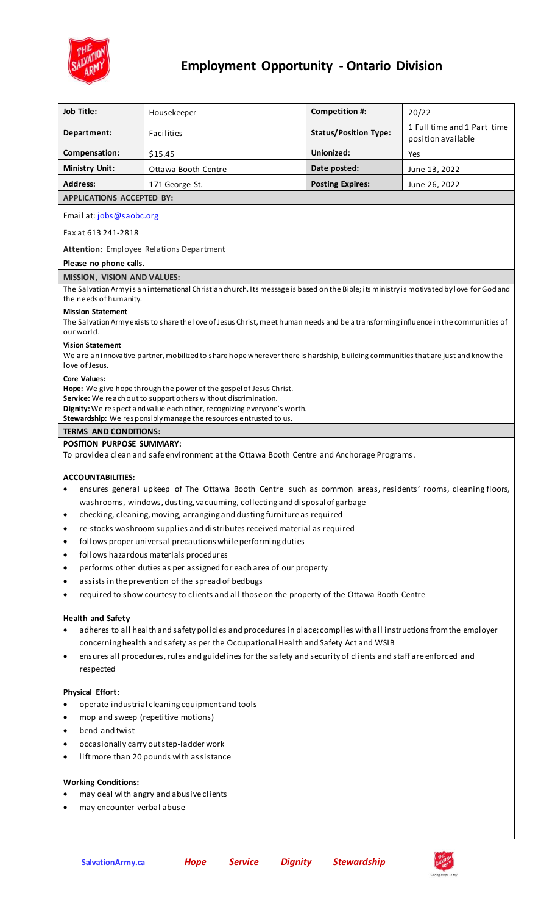

# **Employment Opportunity - Ontario Division**

| Job Title:                                                                                                                                                      | Housekeeper                                                                                                    | Competition #:               | 20/22                                             |  |
|-----------------------------------------------------------------------------------------------------------------------------------------------------------------|----------------------------------------------------------------------------------------------------------------|------------------------------|---------------------------------------------------|--|
| Department:                                                                                                                                                     | Facilities                                                                                                     | <b>Status/Position Type:</b> | 1 Full time and 1 Part time<br>position available |  |
| Compensation:                                                                                                                                                   | \$15.45                                                                                                        | Unionized:                   | Yes                                               |  |
| <b>Ministry Unit:</b>                                                                                                                                           | Ottawa Booth Centre                                                                                            | Date posted:                 | June 13, 2022                                     |  |
| <b>Address:</b>                                                                                                                                                 | 171 George St.                                                                                                 | <b>Posting Expires:</b>      | June 26, 2022                                     |  |
| <b>APPLICATIONS ACCEPTED BY:</b>                                                                                                                                |                                                                                                                |                              |                                                   |  |
| Email at: jobs@saobc.org                                                                                                                                        |                                                                                                                |                              |                                                   |  |
| Fax at 613 241-2818                                                                                                                                             |                                                                                                                |                              |                                                   |  |
| Attention: Employee Relations Department                                                                                                                        |                                                                                                                |                              |                                                   |  |
| Please no phone calls.                                                                                                                                          |                                                                                                                |                              |                                                   |  |
| <b>MISSION, VISION AND VALUES:</b>                                                                                                                              |                                                                                                                |                              |                                                   |  |
| The Salvation Army is an international Christian church. Its message is based on the Bible; its ministry is motivated by love for God and                       |                                                                                                                |                              |                                                   |  |
| the needs of humanity.                                                                                                                                          |                                                                                                                |                              |                                                   |  |
| <b>Mission Statement</b><br>The Salvation Army exists to share the love of Jesus Christ, meet human needs and be a transforming influence in the communities of |                                                                                                                |                              |                                                   |  |
| our world.                                                                                                                                                      |                                                                                                                |                              |                                                   |  |
| <b>Vision Statement</b>                                                                                                                                         |                                                                                                                |                              |                                                   |  |
| We are an innovative partner, mobilized to share hope wherever there is hardship, building communities that are just and know the                               |                                                                                                                |                              |                                                   |  |
| love of Jesus.                                                                                                                                                  |                                                                                                                |                              |                                                   |  |
| <b>Core Values:</b><br>Hope: We give hope through the power of the gospel of Jesus Christ.                                                                      |                                                                                                                |                              |                                                   |  |
| Service: We reach out to support others without discrimination.                                                                                                 |                                                                                                                |                              |                                                   |  |
| Dignity: We respect and value each other, recognizing everyone's worth.                                                                                         |                                                                                                                |                              |                                                   |  |
| Stewardship: We responsibly manage the resources entrusted to us.                                                                                               |                                                                                                                |                              |                                                   |  |
| <b>TERMS AND CONDITIONS:</b>                                                                                                                                    |                                                                                                                |                              |                                                   |  |
| <b>POSITION PURPOSE SUMMARY:</b><br>To provide a clean and safe environment at the Ottawa Booth Centre and Anchorage Programs.                                  |                                                                                                                |                              |                                                   |  |
|                                                                                                                                                                 |                                                                                                                |                              |                                                   |  |
| <b>ACCOUNTABILITIES:</b>                                                                                                                                        |                                                                                                                |                              |                                                   |  |
| ensures general upkeep of The Ottawa Booth Centre such as common areas, residents' rooms, cleaning floors,                                                      |                                                                                                                |                              |                                                   |  |
| washrooms, windows, dusting, vacuuming, collecting and disposal of garbage                                                                                      |                                                                                                                |                              |                                                   |  |
| checking, cleaning, moving, arranging and dusting furniture as required<br>$\bullet$                                                                            |                                                                                                                |                              |                                                   |  |
| re-stocks washroom supplies and distributes received material as required<br>$\bullet$                                                                          |                                                                                                                |                              |                                                   |  |
| follows proper universal precautions while performing duties<br>$\bullet$                                                                                       |                                                                                                                |                              |                                                   |  |
| follows hazardous materials procedures<br>$\bullet$                                                                                                             |                                                                                                                |                              |                                                   |  |
| $\bullet$                                                                                                                                                       | performs other duties as per assigned for each area of our property                                            |                              |                                                   |  |
| assists in the prevention of the spread of bedbugs<br>$\bullet$                                                                                                 |                                                                                                                |                              |                                                   |  |
| required to show courtesy to clients and all those on the property of the Ottawa Booth Centre<br>$\bullet$                                                      |                                                                                                                |                              |                                                   |  |
| <b>Health and Safety</b>                                                                                                                                        |                                                                                                                |                              |                                                   |  |
| adheres to all health and safety policies and procedures in place; complies with all instructions from the employer<br>$\bullet$                                |                                                                                                                |                              |                                                   |  |
|                                                                                                                                                                 | concerning health and safety as per the Occupational Health and Safety Act and WSIB                            |                              |                                                   |  |
| $\bullet$                                                                                                                                                       | ensures all procedures, rules and guidelines for the safety and security of clients and staff are enforced and |                              |                                                   |  |
| respected                                                                                                                                                       |                                                                                                                |                              |                                                   |  |
|                                                                                                                                                                 |                                                                                                                |                              |                                                   |  |
| <b>Physical Effort:</b>                                                                                                                                         |                                                                                                                |                              |                                                   |  |
| $\bullet$                                                                                                                                                       | operate industrial cleaning equipment and tools<br>mop and sweep (repetitive motions)<br>$\bullet$             |                              |                                                   |  |
| bend and twist<br>$\bullet$                                                                                                                                     |                                                                                                                |                              |                                                   |  |
| occasionally carry out step-ladder work<br>٠                                                                                                                    |                                                                                                                |                              |                                                   |  |
| lift more than 20 pounds with assistance<br>$\bullet$                                                                                                           |                                                                                                                |                              |                                                   |  |
|                                                                                                                                                                 |                                                                                                                |                              |                                                   |  |
| <b>Working Conditions:</b>                                                                                                                                      |                                                                                                                |                              |                                                   |  |
| may deal with angry and abusive clients                                                                                                                         |                                                                                                                |                              |                                                   |  |
| may encounter verbal abuse                                                                                                                                      |                                                                                                                |                              |                                                   |  |
|                                                                                                                                                                 |                                                                                                                |                              |                                                   |  |